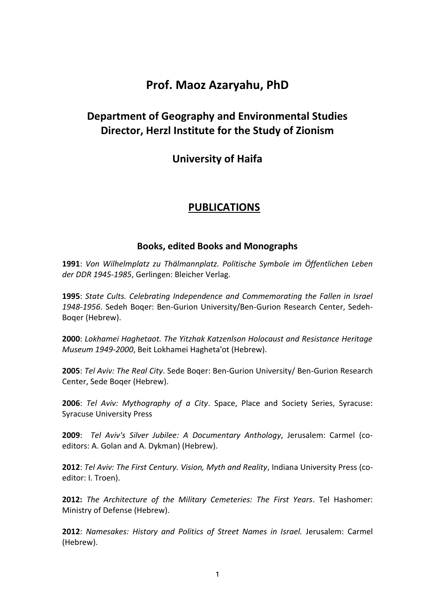# **Prof. Maoz Azaryahu, PhD**

## **Department of Geography and Environmental Studies Director, Herzl Institute for the Study of Zionism**

## **University of Haifa**

## **PUBLICATIONS**

#### **Books, edited Books and Monographs**

**1991**: *Von Wilhelmplatz zu Thälmannplatz. Politische Symbole im Öffentlichen Leben der DDR 1945-1985*, Gerlingen: Bleicher Verlag.

**1995**: *State Cults. Celebrating Independence and Commemorating the Fallen in Israel 1948-1956*. Sedeh Boqer: Ben-Gurion University/Ben-Gurion Research Center, Sedeh-Boqer (Hebrew).

**2000**: *Lokhamei Haghetaot. The Yitzhak Katzenlson Holocaust and Resistance Heritage Museum 1949-2000*, Beit Lokhamei Hagheta'ot (Hebrew).

**2005**: *Tel Aviv: The Real City*. Sede Boqer: Ben-Gurion University/ Ben-Gurion Research Center, Sede Boqer (Hebrew).

**2006**: *Tel Aviv: Mythography of a City*. Space, Place and Society Series, Syracuse: Syracuse University Press

**2009**: *Tel Aviv's Silver Jubilee: A Documentary Anthology*, Jerusalem: Carmel (coeditors: A. Golan and A. Dykman) (Hebrew).

**2012**: *Tel Aviv: The First Century. Vision, Myth and Reality*, Indiana University Press (coeditor: I. Troen).

**2012:** *The Architecture of the Military Cemeteries: The First Years*. Tel Hashomer: Ministry of Defense (Hebrew).

**2012**: *Namesakes: History and Politics of Street Names in Israel.* Jerusalem: Carmel (Hebrew).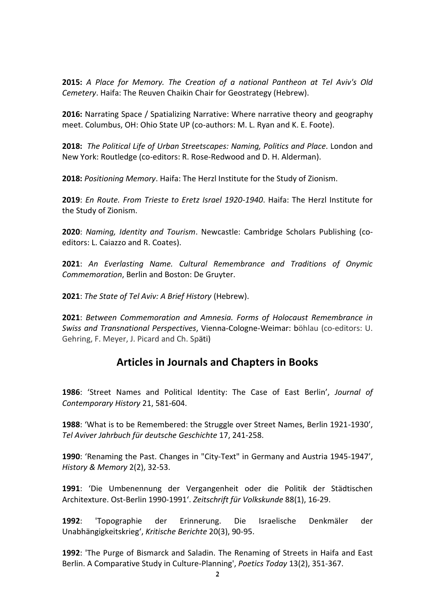**2015:** *A Place for Memory. The Creation of a national Pantheon at Tel Aviv's Old Cemetery*. Haifa: The Reuven Chaikin Chair for Geostrategy (Hebrew).

**2016:** Narrating Space / Spatializing Narrative: Where narrative theory and geography meet. Columbus, OH: Ohio State UP (co-authors: M. L. Ryan and K. E. Foote).

**2018:** *The Political Life of Urban Streetscapes: Naming, Politics and Place*. London and New York: Routledge (co-editors: R. Rose-Redwood and D. H. Alderman).

**2018:** *Positioning Memory*. Haifa: The Herzl Institute for the Study of Zionism.

**2019**: *En Route. From Trieste to Eretz Israel 1920-1940*. Haifa: The Herzl Institute for the Study of Zionism.

**2020**: *Naming, Identity and Tourism*. Newcastle: Cambridge Scholars Publishing (coeditors: L. Caiazzo and R. Coates).

**2021**: *An Everlasting Name. Cultural Remembrance and Traditions of Onymic Commemoration*, Berlin and Boston: De Gruyter.

**2021**: *The State of Tel Aviv: A Brief History* (Hebrew).

**2021**: *Between Commemoration and Amnesia. Forms of Holocaust Remembrance in Swiss and Transnational Perspectives*, Vienna-Cologne-Weimar: böhlau (co-editors: U. Gehring, F. Meyer, J. Picard and Ch. Späti)

## **Articles in Journals and Chapters in Books**

**1986**: 'Street Names and Political Identity: The Case of East Berlin', *Journal of Contemporary History* 21, 581-604.

**1988**: 'What is to be Remembered: the Struggle over Street Names, Berlin 1921-1930', *Tel Aviver Jahrbuch für deutsche Geschichte* 17, 241-258.

**1990**: 'Renaming the Past. Changes in "City-Text" in Germany and Austria 1945-1947', *History & Memory* 2(2), 32-53.

**1991**: 'Die Umbenennung der Vergangenheit oder die Politik der Städtischen Architexture. Ost-Berlin 1990-1991'. *Zeitschrift für Volkskunde* 88(1), 16-29.

**1992**: 'Topographie der Erinnerung. Die Israelische Denkmäler der Unabhängigkeitskrieg', *Kritische Berichte* 20(3), 90-95.

**1992**: 'The Purge of Bismarck and Saladin. The Renaming of Streets in Haifa and East Berlin. A Comparative Study in Culture-Planning', *Poetics Today* 13(2), 351-367.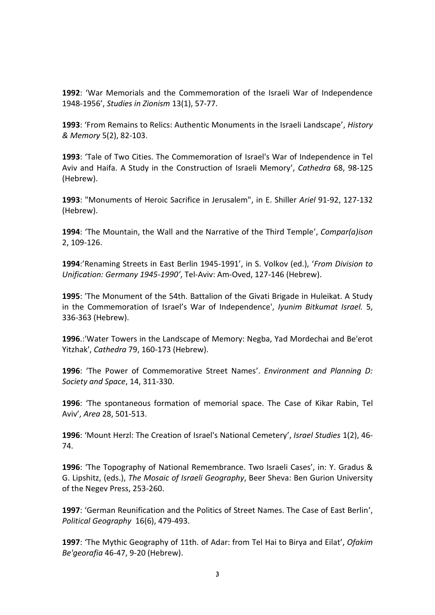**1992**: 'War Memorials and the Commemoration of the Israeli War of Independence 1948-1956', *Studies in Zionism* 13(1), 57-77.

**1993**: 'From Remains to Relics: Authentic Monuments in the Israeli Landscape', *History & Memory* 5(2), 82-103.

**1993**: 'Tale of Two Cities. The Commemoration of Israel's War of Independence in Tel Aviv and Haifa. A Study in the Construction of Israeli Memory', *Cathedra* 68, 98-125 (Hebrew).

**1993**: "Monuments of Heroic Sacrifice in Jerusalem", in E. Shiller *Ariel* 91-92, 127-132 (Hebrew).

**1994**: 'The Mountain, the Wall and the Narrative of the Third Temple', *Compar(a)ison*  2, 109-126.

**1994**:'Renaming Streets in East Berlin 1945-1991', in S. Volkov (ed.), '*From Division to Unification: Germany 1945-1990'*, Tel-Aviv: Am-Oved, 127-146 (Hebrew).

**1995**: 'The Monument of the 54th. Battalion of the Givati Brigade in Huleikat. A Study in the Commemoration of Israel's War of Independence', *Iyunim Bitkumat Israel.* 5, 336-363 (Hebrew).

**1996**.:'Water Towers in the Landscape of Memory: Negba, Yad Mordechai and Be'erot Yitzhak', *Cathedra* 79, 160-173 (Hebrew).

**1996**: 'The Power of Commemorative Street Names'. *Environment and Planning D: Society and Space*, 14, 311-330.

**1996**: 'The spontaneous formation of memorial space. The Case of Kikar Rabin, Tel Aviv', *Area* 28, 501-513.

**1996**: 'Mount Herzl: The Creation of Israel's National Cemetery', *Israel Studies* 1(2), 46- 74.

**1996**: 'The Topography of National Remembrance. Two Israeli Cases', in: Y. Gradus & G. Lipshitz, (eds.), *The Mosaic of Israeli Geography*, Beer Sheva: Ben Gurion University of the Negev Press, 253-260.

**1997**: 'German Reunification and the Politics of Street Names. The Case of East Berlin', *Political Geography* 16(6), 479-493.

**1997**: 'The Mythic Geography of 11th. of Adar: from Tel Hai to Birya and Eilat', *Ofakim Be'georafia* 46-47, 9-20 (Hebrew).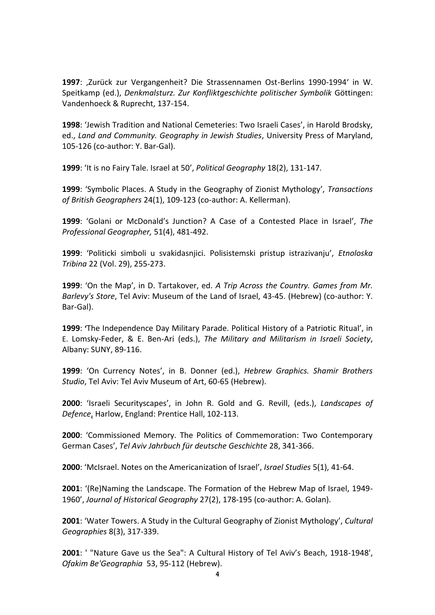**1997**: 'Zurück zur Vergangenheit? Die Strassennamen Ost-Berlins 1990-1994' in W. Speitkamp (ed.), *Denkmalsturz. Zur Konfliktgeschichte politischer Symbolik* Göttingen: Vandenhoeck & Ruprecht, 137-154.

**1998**: 'Jewish Tradition and National Cemeteries: Two Israeli Cases', in Harold Brodsky, ed., *Land and Community. Geography in Jewish Studies*, University Press of Maryland, 105-126 (co-author: Y. Bar-Gal).

**1999**: 'It is no Fairy Tale. Israel at 50', *Political Geography* 18(2), 131-147.

**1999**: 'Symbolic Places. A Study in the Geography of Zionist Mythology', *Transactions of British Geographers* 24(1), 109-123 (co-author: A. Kellerman).

**1999**: 'Golani or McDonald's Junction? A Case of a Contested Place in Israel', *The Professional Geographer,* 51(4), 481-492.

**1999**: 'Politicki simboli u svakidasnjici. Polisistemski pristup istrazivanju', *Etnoloska Tribina* 22 (Vol. 29), 255-273.

**1999**: 'On the Map', in D. Tartakover, ed. *A Trip Across the Country. Games from Mr. Barlevy's Store*, Tel Aviv: Museum of the Land of Israel, 43-45. (Hebrew) (co-author: Y. Bar-Gal).

**1999**: **'**The Independence Day Military Parade. Political History of a Patriotic Ritual', in E. Lomsky-Feder, & E. Ben-Ari (eds.), *The Military and Militarism in Israeli Society*, Albany: SUNY, 89-116.

**1999**: 'On Currency Notes', in B. Donner (ed.), *Hebrew Graphics. Shamir Brothers Studio*, Tel Aviv: Tel Aviv Museum of Art, 60-65 (Hebrew).

**2000**: 'Israeli Securityscapes', in John R. Gold and G. Revill, (eds.), *Landscapes of Defence*, Harlow, England: Prentice Hall, 102-113.

**2000**: 'Commissioned Memory. The Politics of Commemoration: Two Contemporary German Cases', *Tel Aviv Jahrbuch für deutsche Geschichte* 28, 341-366.

**2000**: 'McIsrael. Notes on the Americanization of Israel', *Israel Studies* 5(1), 41-64.

**2001**: '(Re)Naming the Landscape. The Formation of the Hebrew Map of Israel, 1949- 1960', *Journal of Historical Geography* 27(2), 178-195 (co-author: A. Golan).

**2001**: 'Water Towers. A Study in the Cultural Geography of Zionist Mythology', *Cultural Geographies* 8(3), 317-339.

**2001**: ' "Nature Gave us the Sea": A Cultural History of Tel Aviv's Beach, 1918-1948', *Ofakim Be'Geographia* 53, 95-112 (Hebrew).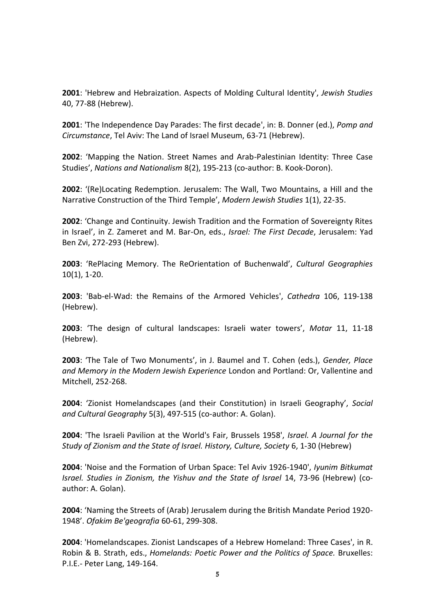**2001**: 'Hebrew and Hebraization. Aspects of Molding Cultural Identity', *Jewish Studies*  40, 77-88 (Hebrew).

**2001**: 'The Independence Day Parades: The first decade', in: B. Donner (ed.), *Pomp and Circumstance*, Tel Aviv: The Land of Israel Museum, 63-71 (Hebrew).

**2002**: 'Mapping the Nation. Street Names and Arab-Palestinian Identity: Three Case Studies', *Nations and Nationalism* 8(2), 195-213 (co-author: B. Kook-Doron).

**2002**: '(Re)Locating Redemption. Jerusalem: The Wall, Two Mountains, a Hill and the Narrative Construction of the Third Temple', *Modern Jewish Studies* 1(1), 22-35.

**2002**: 'Change and Continuity. Jewish Tradition and the Formation of Sovereignty Rites in Israel', in Z. Zameret and M. Bar-On, eds., *Israel: The First Decade*, Jerusalem: Yad Ben Zvi, 272-293 (Hebrew).

**2003**: 'RePlacing Memory. The ReOrientation of Buchenwald', *Cultural Geographies*  10(1), 1-20.

**2003**: 'Bab-el-Wad: the Remains of the Armored Vehicles', *Cathedra* 106, 119-138 (Hebrew).

**2003**: 'The design of cultural landscapes: Israeli water towers', *Motar* 11, 11-18 (Hebrew).

**2003**: 'The Tale of Two Monuments', in J. Baumel and T. Cohen (eds.), *Gender, Place and Memory in the Modern Jewish Experience* London and Portland: Or, Vallentine and Mitchell, 252-268.

**2004**: 'Zionist Homelandscapes (and their Constitution) in Israeli Geography', *Social and Cultural Geography* 5(3), 497-515 (co-author: A. Golan).

**2004**: 'The Israeli Pavilion at the World's Fair, Brussels 1958', *Israel. A Journal for the Study of Zionism and the State of Israel. History, Culture, Society* 6, 1-30 (Hebrew)

**2004**: 'Noise and the Formation of Urban Space: Tel Aviv 1926-1940', *Iyunim Bitkumat Israel. Studies in Zionism, the Yishuv and the State of Israel* 14, 73-96 (Hebrew) (coauthor: A. Golan).

**2004**: 'Naming the Streets of (Arab) Jerusalem during the British Mandate Period 1920- 1948'. *Ofakim Be'geografia* 60-61, 299-308.

**2004**: 'Homelandscapes. Zionist Landscapes of a Hebrew Homeland: Three Cases', in R. Robin & B. Strath, eds., *Homelands: Poetic Power and the Politics of Space.* Bruxelles: P.I.E.- Peter Lang, 149-164.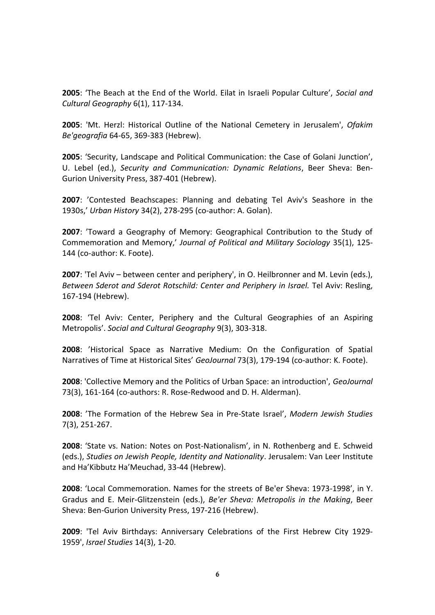**2005**: 'The Beach at the End of the World. Eilat in Israeli Popular Culture', *Social and Cultural Geography* 6(1), 117-134.

**2005**: 'Mt. Herzl: Historical Outline of the National Cemetery in Jerusalem', *Ofakim Be'geografia* 64-65, 369-383 (Hebrew).

**2005**: 'Security, Landscape and Political Communication: the Case of Golani Junction', U. Lebel (ed.), *Security and Communication: Dynamic Relations*, Beer Sheva: Ben-Gurion University Press, 387-401 (Hebrew).

**2007**: 'Contested Beachscapes: Planning and debating Tel Aviv's Seashore in the 1930s,' *Urban History* 34(2), 278-295 (co-author: A. Golan).

**2007**: 'Toward a Geography of Memory: Geographical Contribution to the Study of Commemoration and Memory,' *Journal of Political and Military Sociology* 35(1), 125- 144 (co-author: K. Foote).

**2007**: 'Tel Aviv – between center and periphery', in O. Heilbronner and M. Levin (eds.), *Between Sderot and Sderot Rotschild: Center and Periphery in Israel.* Tel Aviv: Resling, 167-194 (Hebrew).

**2008**: 'Tel Aviv: Center, Periphery and the Cultural Geographies of an Aspiring Metropolis'. *Social and Cultural Geography* 9(3), 303-318.

**2008**: 'Historical Space as Narrative Medium: On the Configuration of Spatial Narratives of Time at Historical Sites' *GeoJournal* 73(3), 179-194 (co-author: K. Foote).

**2008**: 'Collective Memory and the Politics of Urban Space: an introduction', *GeoJournal* 73(3), 161-164 (co-authors: R. Rose-Redwood and D. H. Alderman).

**2008**: 'The Formation of the Hebrew Sea in Pre-State Israel', *Modern Jewish Studies*  7(3), 251-267.

**2008**: 'State vs. Nation: Notes on Post-Nationalism', in N. Rothenberg and E. Schweid (eds.), *Studies on Jewish People, Identity and Nationality*. Jerusalem: Van Leer Institute and Ha'Kibbutz Ha'Meuchad, 33-44 (Hebrew).

**2008**: 'Local Commemoration. Names for the streets of Be'er Sheva: 1973-1998', in Y. Gradus and E. Meir-Glitzenstein (eds.), *Be'er Sheva: Metropolis in the Making*, Beer Sheva: Ben-Gurion University Press, 197-216 (Hebrew).

**2009**: 'Tel Aviv Birthdays: Anniversary Celebrations of the First Hebrew City 1929- 1959', *Israel Studies* 14(3), 1-20.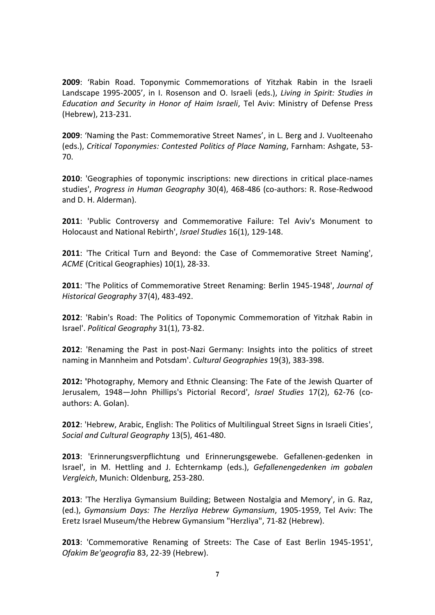**2009**: 'Rabin Road. Toponymic Commemorations of Yitzhak Rabin in the Israeli Landscape 1995-2005', in I. Rosenson and O. Israeli (eds.), *Living in Spirit: Studies in Education and Security in Honor of Haim Israeli*, Tel Aviv: Ministry of Defense Press (Hebrew), 213-231.

**2009**: 'Naming the Past: Commemorative Street Names', in L. Berg and J. Vuolteenaho (eds.), *Critical Toponymies: Contested Politics of Place Naming*, Farnham: Ashgate, 53- 70.

**2010**: 'Geographies of toponymic inscriptions: new directions in critical place-names studies', *Progress in Human Geography* 30(4), 468-486 (co-authors: R. Rose-Redwood and D. H. Alderman).

**2011**: 'Public Controversy and Commemorative Failure: Tel Aviv's Monument to Holocaust and National Rebirth', *Israel Studies* 16(1), 129-148.

**2011**: 'The Critical Turn and Beyond: the Case of Commemorative Street Naming', *ACME* (Critical Geographies) 10(1), 28-33.

**2011**: 'The Politics of Commemorative Street Renaming: Berlin 1945-1948', *Journal of Historical Geography* 37(4), 483-492.

**2012**: 'Rabin's Road: The Politics of Toponymic Commemoration of Yitzhak Rabin in Israel'. *Political Geography* 31(1), 73-82.

**2012**: 'Renaming the Past in post-Nazi Germany: Insights into the politics of street naming in Mannheim and Potsdam'. *Cultural Geographies* 19(3), 383-398.

**2012: '**Photography, Memory and Ethnic Cleansing: The Fate of the Jewish Quarter of Jerusalem, 1948—John Phillips's Pictorial Record', *Israel Studies* 17(2), 62-76 (coauthors: A. Golan).

**2012**: 'Hebrew, Arabic, English: The Politics of Multilingual Street Signs in Israeli Cities', *Social and Cultural Geography* 13(5), 461-480.

**2013**: 'Erinnerungsverpflichtung und Erinnerungsgewebe. Gefallenen-gedenken in Israel', in M. Hettling and J. Echternkamp (eds.), *Gefallenengedenken im gobalen Vergleich*, Munich: Oldenburg, 253-280.

**2013**: 'The Herzliya Gymansium Building; Between Nostalgia and Memory', in G. Raz, (ed.), *Gymansium Days: The Herzliya Hebrew Gymansium*, 1905-1959, Tel Aviv: The Eretz Israel Museum/the Hebrew Gymansium "Herzliya", 71-82 (Hebrew).

**2013**: 'Commemorative Renaming of Streets: The Case of East Berlin 1945-1951', *Ofakim Be'geografia* 83, 22-39 (Hebrew).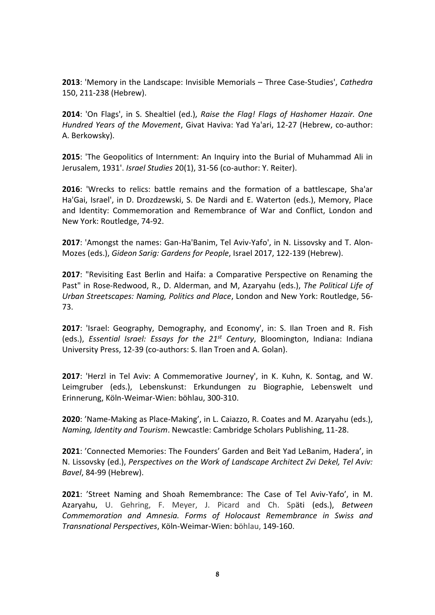**2013**: 'Memory in the Landscape: Invisible Memorials – Three Case-Studies', *Cathedra* 150, 211-238 (Hebrew).

**2014**: 'On Flags', in S. Shealtiel (ed.), *Raise the Flag! Flags of Hashomer Hazair. One Hundred Years of the Movement*, Givat Haviva: Yad Ya'ari, 12-27 (Hebrew, co-author: A. Berkowsky).

**2015**: 'The Geopolitics of Internment: An Inquiry into the Burial of Muhammad Ali in Jerusalem, 1931'. *Israel Studies* 20(1), 31-56 (co-author: Y. Reiter).

**2016**: 'Wrecks to relics: battle remains and the formation of a battlescape, Sha'ar Ha'Gai, Israel', in D. Drozdzewski, S. De Nardi and E. Waterton (eds.), Memory, Place and Identity: Commemoration and Remembrance of War and Conflict, London and New York: Routledge, 74-92.

**2017**: 'Amongst the names: Gan-Ha'Banim, Tel Aviv-Yafo', in N. Lissovsky and T. Alon-Mozes (eds.), *Gideon Sarig: Gardens for People*, Israel 2017, 122-139 (Hebrew).

**2017**: "Revisiting East Berlin and Haifa: a Comparative Perspective on Renaming the Past" in Rose-Redwood, R., D. Alderman, and M, Azaryahu (eds.), *The Political Life of Urban Streetscapes: Naming, Politics and Place*, London and New York: Routledge, 56- 73.

**2017**: 'Israel: Geography, Demography, and Economy', in: S. Ilan Troen and R. Fish (eds.), *Essential Israel: Essays for the 21<sup>st</sup> Century*, Bloomington, Indiana: Indiana University Press, 12-39 (co-authors: S. Ilan Troen and A. Golan).

**2017**: 'Herzl in Tel Aviv: A Commemorative Journey', in K. Kuhn, K. Sontag, and W. Leimgruber (eds.), Lebenskunst: Erkundungen zu Biographie, Lebenswelt und Erinnerung, Köln-Weimar-Wien: böhlau, 300-310.

**2020**: 'Name-Making as Place-Making', in L. Caiazzo, R. Coates and M. Azaryahu (eds.), *Naming, Identity and Tourism*. Newcastle: Cambridge Scholars Publishing, 11-28.

**2021**: 'Connected Memories: The Founders' Garden and Beit Yad LeBanim, Hadera', in N. Lissovsky (ed.), *Perspectives on the Work of Landscape Architect Zvi Dekel, Tel Aviv: Bavel*, 84-99 (Hebrew).

**2021**: 'Street Naming and Shoah Remembrance: The Case of Tel Aviv-Yafo', in M. Azaryahu, U. Gehring, F. Meyer, J. Picard and Ch. Späti (eds.), *Between Commemoration and Amnesia. Forms of Holocaust Remembrance in Swiss and Transnational Perspectives*, Köln-Weimar-Wien: böhlau, 149-160.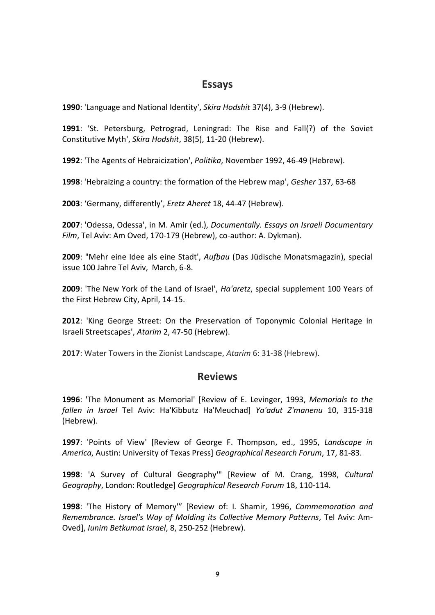## **Essays**

**1990**: 'Language and National Identity', *Skira Hodshit* 37(4), 3-9 (Hebrew).

**1991**: 'St. Petersburg, Petrograd, Leningrad: The Rise and Fall(?) of the Soviet Constitutive Myth', *Skira Hodshit*, 38(5), 11-20 (Hebrew).

**1992**: 'The Agents of Hebraicization', *Politika*, November 1992, 46-49 (Hebrew).

**1998**: 'Hebraizing a country: the formation of the Hebrew map', *Gesher* 137, 63-68

**2003**: 'Germany, differently', *Eretz Aheret* 18, 44-47 (Hebrew).

**2007**: 'Odessa, Odessa', in M. Amir (ed.), *Documentally. Essays on Israeli Documentary Film*, Tel Aviv: Am Oved, 170-179 (Hebrew), co-author: A. Dykman).

**2009**: "Mehr eine Idee als eine Stadt', *Aufbau* (Das Jüdische Monatsmagazin), special issue 100 Jahre Tel Aviv, March, 6-8.

**2009**: 'The New York of the Land of Israel', *Ha'aretz*, special supplement 100 Years of the First Hebrew City, April, 14-15.

**2012**: 'King George Street: On the Preservation of Toponymic Colonial Heritage in Israeli Streetscapes', *Atarim* 2, 47-50 (Hebrew).

**2017**: Water Towers in the Zionist Landscape, *Atarim* 6: 31-38 (Hebrew).

### **Reviews**

**1996**: 'The Monument as Memorial' [Review of E. Levinger, 1993, *Memorials to the fallen in Israel* Tel Aviv: Ha'Kibbutz Ha'Meuchad] *Ya'adut Z'manenu* 10, 315-318 (Hebrew).

**1997**: 'Points of View' [Review of George F. Thompson, ed., 1995, *Landscape in America*, Austin: University of Texas Press] *Geographical Research Forum*, 17, 81-83.

**1998**: 'A Survey of Cultural Geography'" [Review of M. Crang, 1998, *Cultural Geography*, London: Routledge] *Geographical Research Forum* 18, 110-114.

**1998**: 'The History of Memory'" [Review of: I. Shamir, 1996, *Commemoration and Remembrance. Israel's Way of Molding its Collective Memory Patterns*, Tel Aviv: Am-Oved], *Iunim Betkumat Israel*, 8, 250-252 (Hebrew).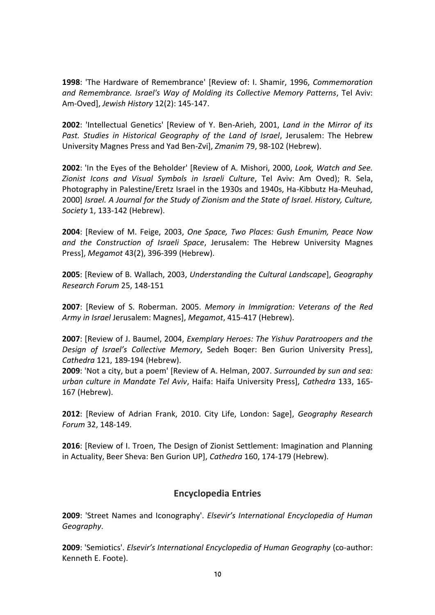**1998**: 'The Hardware of Remembrance' [Review of: I. Shamir, 1996, *Commemoration and Remembrance. Israel's Way of Molding its Collective Memory Patterns*, Tel Aviv: Am-Oved], *Jewish History* 12(2): 145-147.

**2002**: 'Intellectual Genetics' [Review of Y. Ben-Arieh, 2001, *Land in the Mirror of its Past. Studies in Historical Geography of the Land of Israel*, Jerusalem: The Hebrew University Magnes Press and Yad Ben-Zvi], *Zmanim* 79, 98-102 (Hebrew).

**2002**: 'In the Eyes of the Beholder' [Review of A. Mishori, 2000, *Look, Watch and See. Zionist Icons and Visual Symbols in Israeli Culture*, Tel Aviv: Am Oved); R. Sela, Photography in Palestine/Eretz Israel in the 1930s and 1940s, Ha-Kibbutz Ha-Meuhad, 2000] *Israel. A Journal for the Study of Zionism and the State of Israel. History, Culture, Society* 1, 133-142 (Hebrew).

**2004**: [Review of M. Feige, 2003, *One Space, Two Places: Gush Emunim, Peace Now and the Construction of Israeli Space*, Jerusalem: The Hebrew University Magnes Press], *Megamot* 43(2), 396-399 (Hebrew).

**2005**: [Review of B. Wallach, 2003, *Understanding the Cultural Landscape*], *Geography Research Forum* 25, 148-151

**2007**: [Review of S. Roberman. 2005. *Memory in Immigration: Veterans of the Red Army in Israel* Jerusalem: Magnes], *Megamot*, 415-417 (Hebrew).

**2007**: [Review of J. Baumel, 2004, *Exemplary Heroes: The Yishuv Paratroopers and the Design of Israel's Collective Memory*, Sedeh Boqer: Ben Gurion University Press], *Cathedra* 121, 189-194 (Hebrew).

**2009**: 'Not a city, but a poem' [Review of A. Helman, 2007. *Surrounded by sun and sea: urban culture in Mandate Tel Aviv*, Haifa: Haifa University Press], *Cathedra* 133, 165- 167 (Hebrew).

**2012**: [Review of Adrian Frank, 2010. City Life, London: Sage], *Geography Research Forum* 32, 148-149.

**2016**: [Review of I. Troen, The Design of Zionist Settlement: Imagination and Planning in Actuality, Beer Sheva: Ben Gurion UP], *Cathedra* 160, 174-179 (Hebrew).

### **Encyclopedia Entries**

**2009**: 'Street Names and Iconography'. *Elsevir's International Encyclopedia of Human Geography*.

**2009**: 'Semiotics'. *Elsevir's International Encyclopedia of Human Geography* (co-author: Kenneth E. Foote).